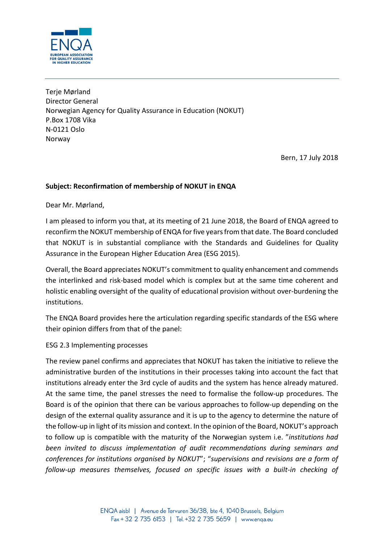

Terje Mørland Director General Norwegian Agency for Quality Assurance in Education (NOKUT) P.Box 1708 Vika N-0121 Oslo Norway

Bern, 17 July 2018

# **Subject: Reconfirmation of membership of NOKUT in ENQA**

Dear Mr. Mørland,

I am pleased to inform you that, at its meeting of 21 June 2018, the Board of ENQA agreed to reconfirm the NOKUT membership of ENQA for five years from that date. The Board concluded that NOKUT is in substantial compliance with the Standards and Guidelines for Quality Assurance in the European Higher Education Area (ESG 2015).

Overall, the Board appreciates NOKUT's commitment to quality enhancement and commends the interlinked and risk-based model which is complex but at the same time coherent and holistic enabling oversight of the quality of educational provision without over-burdening the institutions.

The ENQA Board provides here the articulation regarding specific standards of the ESG where their opinion differs from that of the panel:

### ESG 2.3 Implementing processes

The review panel confirms and appreciates that NOKUT has taken the initiative to relieve the administrative burden of the institutions in their processes taking into account the fact that institutions already enter the 3rd cycle of audits and the system has hence already matured. At the same time, the panel stresses the need to formalise the follow-up procedures. The Board is of the opinion that there can be various approaches to follow-up depending on the design of the external quality assurance and it is up to the agency to determine the nature of the follow-up in light of its mission and context. In the opinion of the Board, NOKUT's approach to follow up is compatible with the maturity of the Norwegian system i.e. "*institutions had been invited to discuss implementation of audit recommendations during seminars and conferences for institutions organised by NOKUT*"; "*supervisions and revisions are a form of follow-up measures themselves, focused on specific issues with a built-in checking of*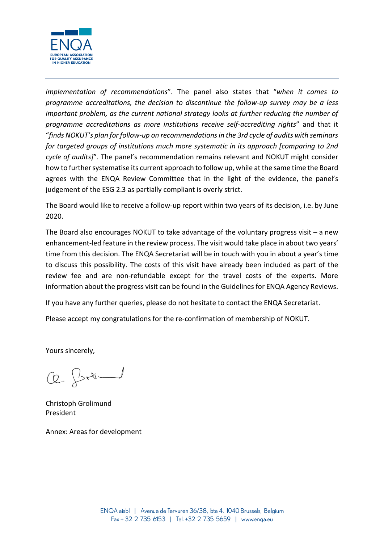

*implementation of recommendations*". The panel also states that "*when it comes to programme accreditations, the decision to discontinue the follow-up survey may be a less important problem, as the current national strategy looks at further reducing the number of programme accreditations as more institutions receive self-accrediting rights*" and that it "*finds NOKUT's plan for follow-up on recommendations in the 3rd cycle of audits with seminars for targeted groups of institutions much more systematic in its approach [comparing to 2nd cycle of audits]*". The panel's recommendation remains relevant and NOKUT might consider how to further systematise its current approach to follow up, while at the same time the Board agrees with the ENQA Review Committee that in the light of the evidence, the panel's judgement of the ESG 2.3 as partially compliant is overly strict.

The Board would like to receive a follow-up report within two years of its decision, i.e. by June 2020.

The Board also encourages NOKUT to take advantage of the voluntary progress visit – a new enhancement-led feature in the review process. The visit would take place in about two years' time from this decision. The ENQA Secretariat will be in touch with you in about a year's time to discuss this possibility. The costs of this visit have already been included as part of the review fee and are non-refundable except for the travel costs of the experts. More information about the progress visit can be found in th[e Guidelines for ENQA Agency Reviews.](http://www.enqa.eu/indirme/papers-and-reports/occasional-papers/Guidelines%20for%20ENQA%20Agency%20Reviews.pdf)

If you have any further queries, please do not hesitate to contact the ENQA Secretariat.

Please accept my congratulations for the re-confirmation of membership of NOKUT.

Yours sincerely,

 $Q. 24 - 1$ 

Christoph Grolimund President

Annex: Areas for development